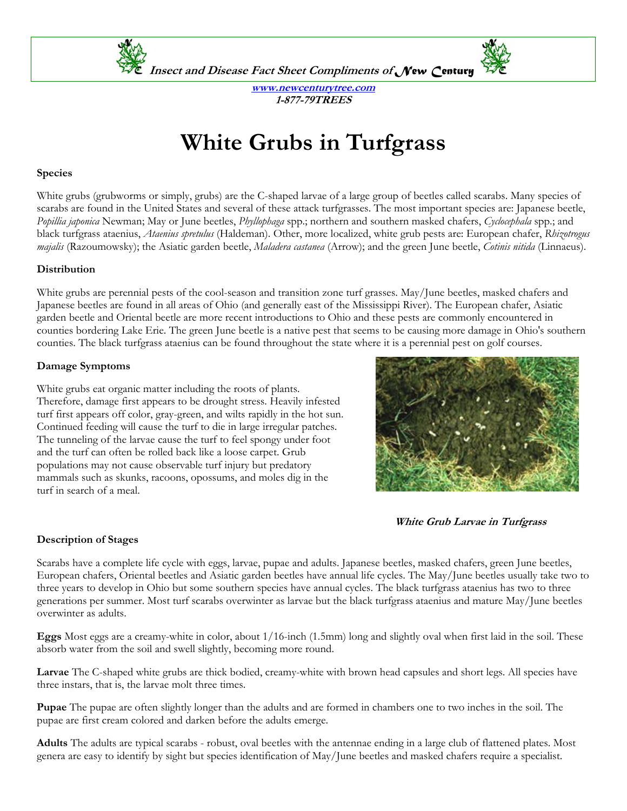

**Insect and Disease Fact Sheet Compliments of** *New Century*



**www.newcenturytree.com 1-877-79TREES** 

# **White Grubs in Turfgrass**

#### **Species**

White grubs (grubworms or simply, grubs) are the C-shaped larvae of a large group of beetles called scarabs. Many species of scarabs are found in the United States and several of these attack turfgrasses. The most important species are: Japanese beetle, *Popillia japonica* Newman; May or June beetles, *Phyllophaga* spp.; northern and southern masked chafers, *Cyclocephala* spp.; and black turfgrass ataenius, *Ataenius spretulus* (Haldeman). Other, more localized, white grub pests are: European chafer, *Rhizotrogus majalis* (Razoumowsky); the Asiatic garden beetle, *Maladera castanea* (Arrow); and the green June beetle, *Cotinis nitida* (Linnaeus).

#### **Distribution**

White grubs are perennial pests of the cool-season and transition zone turf grasses. May/June beetles, masked chafers and Japanese beetles are found in all areas of Ohio (and generally east of the Mississippi River). The European chafer, Asiatic garden beetle and Oriental beetle are more recent introductions to Ohio and these pests are commonly encountered in counties bordering Lake Erie. The green June beetle is a native pest that seems to be causing more damage in Ohio's southern counties. The black turfgrass ataenius can be found throughout the state where it is a perennial pest on golf courses.

# **Damage Symptoms**

White grubs eat organic matter including the roots of plants. Therefore, damage first appears to be drought stress. Heavily infested turf first appears off color, gray-green, and wilts rapidly in the hot sun. Continued feeding will cause the turf to die in large irregular patches. The tunneling of the larvae cause the turf to feel spongy under foot and the turf can often be rolled back like a loose carpet. Grub populations may not cause observable turf injury but predatory mammals such as skunks, racoons, opossums, and moles dig in the turf in search of a meal.



**White Grub Larvae in Turfgrass** 

# **Description of Stages**

Scarabs have a complete life cycle with eggs, larvae, pupae and adults. Japanese beetles, masked chafers, green June beetles, European chafers, Oriental beetles and Asiatic garden beetles have annual life cycles. The May/June beetles usually take two to three years to develop in Ohio but some southern species have annual cycles. The black turfgrass ataenius has two to three generations per summer. Most turf scarabs overwinter as larvae but the black turfgrass ataenius and mature May/June beetles overwinter as adults.

**Eggs** Most eggs are a creamy-white in color, about 1/16-inch (1.5mm) long and slightly oval when first laid in the soil. These absorb water from the soil and swell slightly, becoming more round.

**Larvae** The C-shaped white grubs are thick bodied, creamy-white with brown head capsules and short legs. All species have three instars, that is, the larvae molt three times.

**Pupae** The pupae are often slightly longer than the adults and are formed in chambers one to two inches in the soil. The pupae are first cream colored and darken before the adults emerge.

**Adults** The adults are typical scarabs - robust, oval beetles with the antennae ending in a large club of flattened plates. Most genera are easy to identify by sight but species identification of May/June beetles and masked chafers require a specialist.